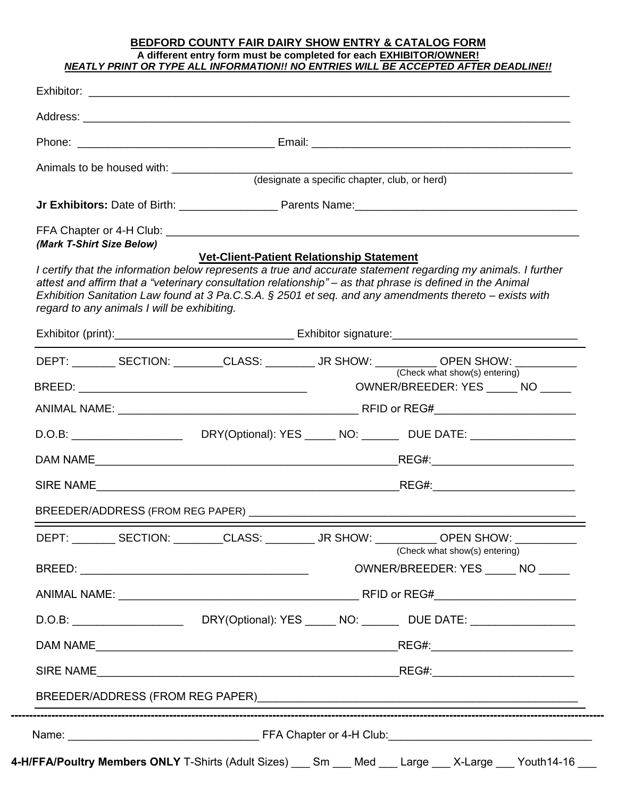## **BEDFORD COUNTY FAIR DAIRY SHOW ENTRY & CATALOG FORM A different entry form must be completed for each EXHIBITOR/OWNER!** *NEATLY PRINT OR TYPE ALL INFORMATION!! NO ENTRIES WILL BE ACCEPTED AFTER DEADLINE!!*

|                                                                                                                                                          |                                                  | (designate a specific chapter, club, or herd) |                                                                                                                                                                                                                            |  |  |  |  |
|----------------------------------------------------------------------------------------------------------------------------------------------------------|--------------------------------------------------|-----------------------------------------------|----------------------------------------------------------------------------------------------------------------------------------------------------------------------------------------------------------------------------|--|--|--|--|
|                                                                                                                                                          |                                                  |                                               |                                                                                                                                                                                                                            |  |  |  |  |
| (Mark T-Shirt Size Below)                                                                                                                                |                                                  |                                               |                                                                                                                                                                                                                            |  |  |  |  |
| attest and affirm that a "veterinary consultation relationship" – as that phrase is defined in the Animal<br>regard to any animals I will be exhibiting. | <b>Vet-Client-Patient Relationship Statement</b> |                                               | I certify that the information below represents a true and accurate statement regarding my animals. I further<br>Exhibition Sanitation Law found at 3 Pa.C.S.A. $\S 2501$ et seq. and any amendments thereto – exists with |  |  |  |  |
|                                                                                                                                                          |                                                  |                                               |                                                                                                                                                                                                                            |  |  |  |  |
|                                                                                                                                                          |                                                  |                                               | DEPT: __________ SECTION: _________CLASS: __________ JR SHOW: ___________ OPEN SHOW: ____________                                                                                                                          |  |  |  |  |
|                                                                                                                                                          |                                                  |                                               | (Check what show(s) entering)<br>OWNER/BREEDER: YES ______ NO _____                                                                                                                                                        |  |  |  |  |
|                                                                                                                                                          |                                                  |                                               |                                                                                                                                                                                                                            |  |  |  |  |
|                                                                                                                                                          |                                                  |                                               |                                                                                                                                                                                                                            |  |  |  |  |
|                                                                                                                                                          | DAM NAME                                         |                                               |                                                                                                                                                                                                                            |  |  |  |  |
|                                                                                                                                                          |                                                  |                                               |                                                                                                                                                                                                                            |  |  |  |  |
|                                                                                                                                                          |                                                  |                                               |                                                                                                                                                                                                                            |  |  |  |  |
|                                                                                                                                                          |                                                  |                                               | DEPT: ________ SECTION: ________CLASS: _________ JR SHOW: _________ OPEN SHOW: _________                                                                                                                                   |  |  |  |  |
|                                                                                                                                                          |                                                  |                                               | (Check what show(s) entering)<br>OWNER/BREEDER: YES _______ NO                                                                                                                                                             |  |  |  |  |
|                                                                                                                                                          |                                                  |                                               |                                                                                                                                                                                                                            |  |  |  |  |
|                                                                                                                                                          |                                                  |                                               |                                                                                                                                                                                                                            |  |  |  |  |
|                                                                                                                                                          |                                                  |                                               |                                                                                                                                                                                                                            |  |  |  |  |
|                                                                                                                                                          |                                                  |                                               |                                                                                                                                                                                                                            |  |  |  |  |
|                                                                                                                                                          |                                                  |                                               |                                                                                                                                                                                                                            |  |  |  |  |
|                                                                                                                                                          |                                                  |                                               |                                                                                                                                                                                                                            |  |  |  |  |